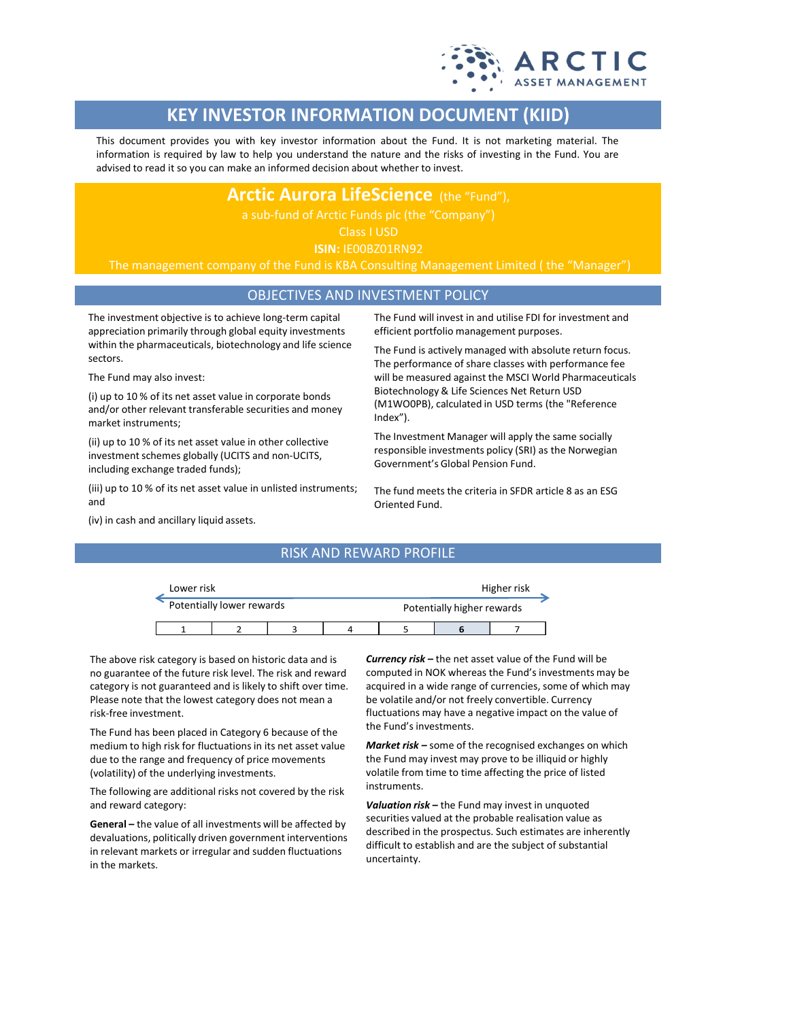

# **KEY INVESTOR INFORMATION DOCUMENT (KIID)**

This document provides you with key investor information about the Fund. It is not marketing material. The information is required by law to help you understand the nature and the risks of investing in the Fund. You are advised to read it so you can make an informed decision about whether to invest.

**Arctic Aurora LifeScience** (the "Fund"),

Class I USD

**ISIN:** IE00BZ01RN92

The management company of the Fund is KBA Consulting Management Limited ( the "Manager")

### OBJECTIVES AND INVESTMENT POLICY

The investment objective is to achieve long-term capital appreciation primarily through global equity investments within the pharmaceuticals, biotechnology and life science sectors.

The Fund may also invest:

(i) up to 10 % of its net asset value in corporate bonds and/or other relevant transferable securities and money market instruments;

(ii) up to 10 % of its net asset value in other collective investment schemes globally (UCITS and non-UCITS, including exchange traded funds);

(iii) up to 10 % of its net asset value in unlisted instruments; and

The Fund will invest in and utilise FDI for investment and efficient portfolio management purposes.

The Fund is actively managed with absolute return focus. The performance of share classes with performance fee will be measured against the MSCI World Pharmaceuticals Biotechnology & Life Sciences Net Return USD (M1WO0PB), calculated in USD terms (the "Reference Index").

The Investment Manager will apply the same socially responsible investments policy (SRI) as the Norwegian Government's Global Pension Fund.

The fund meets the criteria in SFDR article 8 as an ESG Oriented Fund.

(iv) in cash and ancillary liquid assets.

## RISK AND REWARD PROFILE

| Lower risk |                           |  | Higher risk                |  |  |
|------------|---------------------------|--|----------------------------|--|--|
|            | Potentially lower rewards |  | Potentially higher rewards |  |  |
|            |                           |  |                            |  |  |

The above risk category is based on historic data and is no guarantee of the future risk level. The risk and reward category is not guaranteed and is likely to shift over time. Please note that the lowest category does not mean a risk-free investment.

The Fund has been placed in Category 6 because of the medium to high risk for fluctuations in its net asset value due to the range and frequency of price movements (volatility) of the underlying investments.

The following are additional risks not covered by the risk and reward category:

**General –** the value of all investments will be affected by devaluations, politically driven government interventions in relevant markets or irregular and sudden fluctuations in the markets.

*Currency risk –* the net asset value of the Fund will be computed in NOK whereas the Fund's investments may be acquired in a wide range of currencies, some of which may be volatile and/or not freely convertible. Currency fluctuations may have a negative impact on the value of the Fund's investments.

*Market risk –* some of the recognised exchanges on which the Fund may invest may prove to be illiquid or highly volatile from time to time affecting the price of listed instruments.

*Valuation risk –* the Fund may invest in unquoted securities valued at the probable realisation value as described in the prospectus. Such estimates are inherently difficult to establish and are the subject of substantial uncertainty.